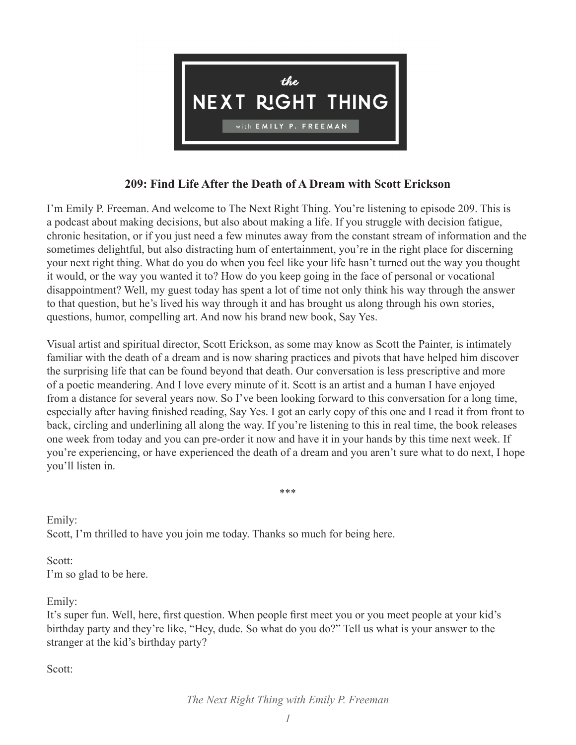

## **209: Find Life After the Death of A Dream with Scott Erickson**

I'm Emily P. Freeman. And welcome to The Next Right Thing. You're listening to episode 209. This is a podcast about making decisions, but also about making a life. If you struggle with decision fatigue, chronic hesitation, or if you just need a few minutes away from the constant stream of information and the sometimes delightful, but also distracting hum of entertainment, you're in the right place for discerning your next right thing. What do you do when you feel like your life hasn't turned out the way you thought it would, or the way you wanted it to? How do you keep going in the face of personal or vocational disappointment? Well, my guest today has spent a lot of time not only think his way through the answer to that question, but he's lived his way through it and has brought us along through his own stories, questions, humor, compelling art. And now his brand new book, Say Yes.

Visual artist and spiritual director, Scott Erickson, as some may know as Scott the Painter, is intimately familiar with the death of a dream and is now sharing practices and pivots that have helped him discover the surprising life that can be found beyond that death. Our conversation is less prescriptive and more of a poetic meandering. And I love every minute of it. Scott is an artist and a human I have enjoyed from a distance for several years now. So I've been looking forward to this conversation for a long time, especially after having finished reading, Say Yes. I got an early copy of this one and I read it from front to back, circling and underlining all along the way. If you're listening to this in real time, the book releases one week from today and you can pre-order it now and have it in your hands by this time next week. If you're experiencing, or have experienced the death of a dream and you aren't sure what to do next, I hope you'll listen in.

\*\*\*

Emily: Scott, I'm thrilled to have you join me today. Thanks so much for being here.

Scott: I'm so glad to be here.

Emily:

It's super fun. Well, here, first question. When people first meet you or you meet people at your kid's birthday party and they're like, "Hey, dude. So what do you do?" Tell us what is your answer to the stranger at the kid's birthday party?

Scott: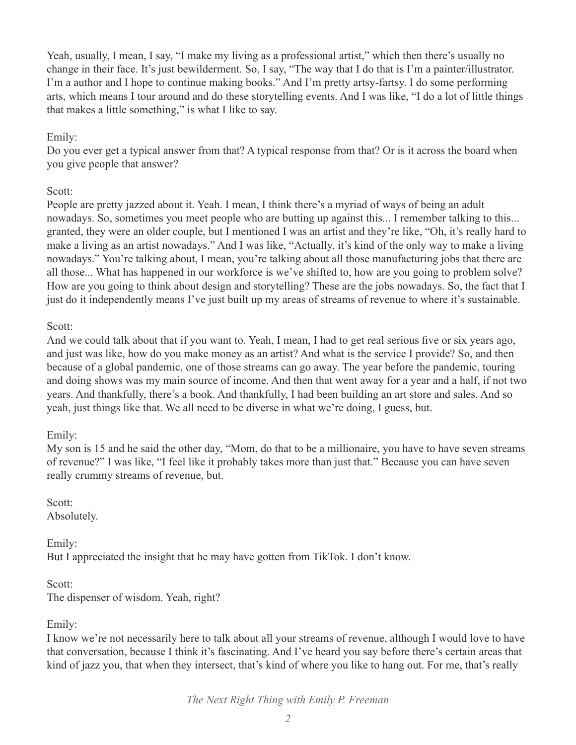Yeah, usually, I mean, I say, "I make my living as a professional artist," which then there's usually no change in their face. It's just bewilderment. So, I say, "The way that I do that is I'm a painter/illustrator. I'm a author and I hope to continue making books." And I'm pretty artsy-fartsy. I do some performing arts, which means I tour around and do these storytelling events. And I was like, "I do a lot of little things that makes a little something," is what I like to say.

## Emily:

Do you ever get a typical answer from that? A typical response from that? Or is it across the board when you give people that answer?

## Scott:

People are pretty jazzed about it. Yeah. I mean, I think there's a myriad of ways of being an adult nowadays. So, sometimes you meet people who are butting up against this... I remember talking to this... granted, they were an older couple, but I mentioned I was an artist and they're like, "Oh, it's really hard to make a living as an artist nowadays." And I was like, "Actually, it's kind of the only way to make a living nowadays." You're talking about, I mean, you're talking about all those manufacturing jobs that there are all those... What has happened in our workforce is we've shifted to, how are you going to problem solve? How are you going to think about design and storytelling? These are the jobs nowadays. So, the fact that I just do it independently means I've just built up my areas of streams of revenue to where it's sustainable.

### Scott:

And we could talk about that if you want to. Yeah, I mean, I had to get real serious five or six years ago, and just was like, how do you make money as an artist? And what is the service I provide? So, and then because of a global pandemic, one of those streams can go away. The year before the pandemic, touring and doing shows was my main source of income. And then that went away for a year and a half, if not two years. And thankfully, there's a book. And thankfully, I had been building an art store and sales. And so yeah, just things like that. We all need to be diverse in what we're doing, I guess, but.

## Emily:

My son is 15 and he said the other day, "Mom, do that to be a millionaire, you have to have seven streams of revenue?" I was like, "I feel like it probably takes more than just that." Because you can have seven really crummy streams of revenue, but.

Scott: Absolutely.

Emily:

But I appreciated the insight that he may have gotten from TikTok. I don't know.

Scott: The dispenser of wisdom. Yeah, right?

Emily:

I know we're not necessarily here to talk about all your streams of revenue, although I would love to have that conversation, because I think it's fascinating. And I've heard you say before there's certain areas that kind of jazz you, that when they intersect, that's kind of where you like to hang out. For me, that's really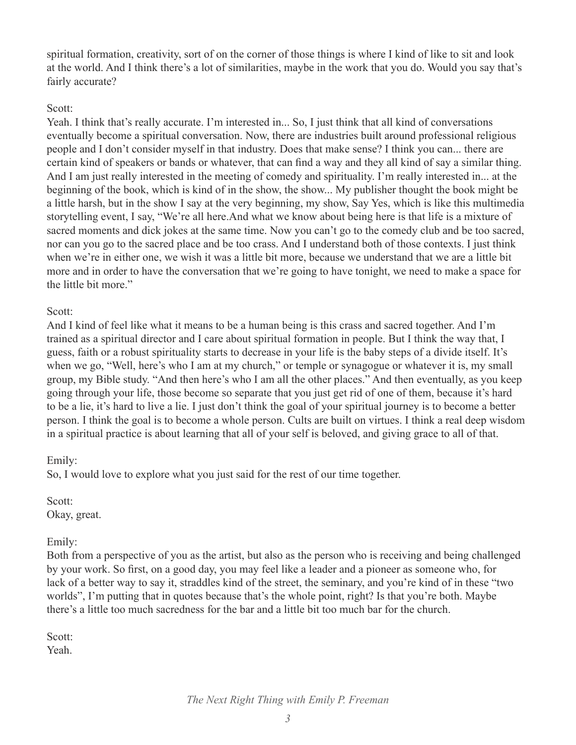spiritual formation, creativity, sort of on the corner of those things is where I kind of like to sit and look at the world. And I think there's a lot of similarities, maybe in the work that you do. Would you say that's fairly accurate?

### Scott:

Yeah. I think that's really accurate. I'm interested in... So, I just think that all kind of conversations eventually become a spiritual conversation. Now, there are industries built around professional religious people and I don't consider myself in that industry. Does that make sense? I think you can... there are certain kind of speakers or bands or whatever, that can find a way and they all kind of say a similar thing. And I am just really interested in the meeting of comedy and spirituality. I'm really interested in... at the beginning of the book, which is kind of in the show, the show... My publisher thought the book might be a little harsh, but in the show I say at the very beginning, my show, Say Yes, which is like this multimedia storytelling event, I say, "We're all here.And what we know about being here is that life is a mixture of sacred moments and dick jokes at the same time. Now you can't go to the comedy club and be too sacred, nor can you go to the sacred place and be too crass. And I understand both of those contexts. I just think when we're in either one, we wish it was a little bit more, because we understand that we are a little bit more and in order to have the conversation that we're going to have tonight, we need to make a space for the little bit more."

## Scott:

And I kind of feel like what it means to be a human being is this crass and sacred together. And I'm trained as a spiritual director and I care about spiritual formation in people. But I think the way that, I guess, faith or a robust spirituality starts to decrease in your life is the baby steps of a divide itself. It's when we go, "Well, here's who I am at my church," or temple or synagogue or whatever it is, my small group, my Bible study. "And then here's who I am all the other places." And then eventually, as you keep going through your life, those become so separate that you just get rid of one of them, because it's hard to be a lie, it's hard to live a lie. I just don't think the goal of your spiritual journey is to become a better person. I think the goal is to become a whole person. Cults are built on virtues. I think a real deep wisdom in a spiritual practice is about learning that all of your self is beloved, and giving grace to all of that.

## Emily:

So, I would love to explore what you just said for the rest of our time together.

Scott: Okay, great.

## Emily:

Both from a perspective of you as the artist, but also as the person who is receiving and being challenged by your work. So first, on a good day, you may feel like a leader and a pioneer as someone who, for lack of a better way to say it, straddles kind of the street, the seminary, and you're kind of in these "two worlds", I'm putting that in quotes because that's the whole point, right? Is that you're both. Maybe there's a little too much sacredness for the bar and a little bit too much bar for the church.

Scott: Yeah.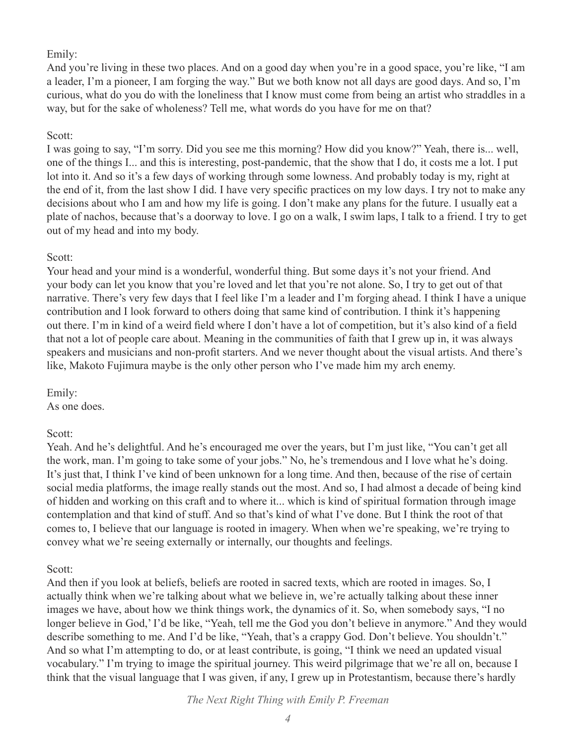#### Emily:

And you're living in these two places. And on a good day when you're in a good space, you're like, "I am a leader, I'm a pioneer, I am forging the way." But we both know not all days are good days. And so, I'm curious, what do you do with the loneliness that I know must come from being an artist who straddles in a way, but for the sake of wholeness? Tell me, what words do you have for me on that?

### Scott:

I was going to say, "I'm sorry. Did you see me this morning? How did you know?" Yeah, there is... well, one of the things I... and this is interesting, post-pandemic, that the show that I do, it costs me a lot. I put lot into it. And so it's a few days of working through some lowness. And probably today is my, right at the end of it, from the last show I did. I have very specific practices on my low days. I try not to make any decisions about who I am and how my life is going. I don't make any plans for the future. I usually eat a plate of nachos, because that's a doorway to love. I go on a walk, I swim laps, I talk to a friend. I try to get out of my head and into my body.

### Scott:

Your head and your mind is a wonderful, wonderful thing. But some days it's not your friend. And your body can let you know that you're loved and let that you're not alone. So, I try to get out of that narrative. There's very few days that I feel like I'm a leader and I'm forging ahead. I think I have a unique contribution and I look forward to others doing that same kind of contribution. I think it's happening out there. I'm in kind of a weird field where I don't have a lot of competition, but it's also kind of a field that not a lot of people care about. Meaning in the communities of faith that I grew up in, it was always speakers and musicians and non-profit starters. And we never thought about the visual artists. And there's like, Makoto Fujimura maybe is the only other person who I've made him my arch enemy.

Emily: As one does.

#### Scott:

Yeah. And he's delightful. And he's encouraged me over the years, but I'm just like, "You can't get all the work, man. I'm going to take some of your jobs." No, he's tremendous and I love what he's doing. It's just that, I think I've kind of been unknown for a long time. And then, because of the rise of certain social media platforms, the image really stands out the most. And so, I had almost a decade of being kind of hidden and working on this craft and to where it... which is kind of spiritual formation through image contemplation and that kind of stuff. And so that's kind of what I've done. But I think the root of that comes to, I believe that our language is rooted in imagery. When when we're speaking, we're trying to convey what we're seeing externally or internally, our thoughts and feelings.

#### Scott:

And then if you look at beliefs, beliefs are rooted in sacred texts, which are rooted in images. So, I actually think when we're talking about what we believe in, we're actually talking about these inner images we have, about how we think things work, the dynamics of it. So, when somebody says, "I no longer believe in God,' I'd be like, "Yeah, tell me the God you don't believe in anymore." And they would describe something to me. And I'd be like, "Yeah, that's a crappy God. Don't believe. You shouldn't." And so what I'm attempting to do, or at least contribute, is going, "I think we need an updated visual vocabulary." I'm trying to image the spiritual journey. This weird pilgrimage that we're all on, because I think that the visual language that I was given, if any, I grew up in Protestantism, because there's hardly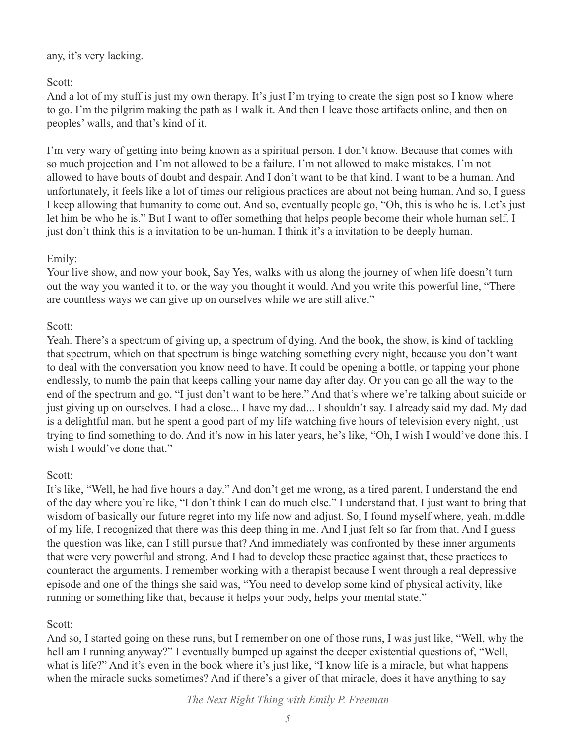### any, it's very lacking.

## Scott:

And a lot of my stuff is just my own therapy. It's just I'm trying to create the sign post so I know where to go. I'm the pilgrim making the path as I walk it. And then I leave those artifacts online, and then on peoples' walls, and that's kind of it.

I'm very wary of getting into being known as a spiritual person. I don't know. Because that comes with so much projection and I'm not allowed to be a failure. I'm not allowed to make mistakes. I'm not allowed to have bouts of doubt and despair. And I don't want to be that kind. I want to be a human. And unfortunately, it feels like a lot of times our religious practices are about not being human. And so, I guess I keep allowing that humanity to come out. And so, eventually people go, "Oh, this is who he is. Let's just let him be who he is." But I want to offer something that helps people become their whole human self. I just don't think this is a invitation to be un-human. I think it's a invitation to be deeply human.

## Emily:

Your live show, and now your book, Say Yes, walks with us along the journey of when life doesn't turn out the way you wanted it to, or the way you thought it would. And you write this powerful line, "There are countless ways we can give up on ourselves while we are still alive."

## Scott:

Yeah. There's a spectrum of giving up, a spectrum of dying. And the book, the show, is kind of tackling that spectrum, which on that spectrum is binge watching something every night, because you don't want to deal with the conversation you know need to have. It could be opening a bottle, or tapping your phone endlessly, to numb the pain that keeps calling your name day after day. Or you can go all the way to the end of the spectrum and go, "I just don't want to be here." And that's where we're talking about suicide or just giving up on ourselves. I had a close... I have my dad... I shouldn't say. I already said my dad. My dad is a delightful man, but he spent a good part of my life watching five hours of television every night, just trying to find something to do. And it's now in his later years, he's like, "Oh, I wish I would've done this. I wish I would've done that."

# Scott:

It's like, "Well, he had five hours a day." And don't get me wrong, as a tired parent, I understand the end of the day where you're like, "I don't think I can do much else." I understand that. I just want to bring that wisdom of basically our future regret into my life now and adjust. So, I found myself where, yeah, middle of my life, I recognized that there was this deep thing in me. And I just felt so far from that. And I guess the question was like, can I still pursue that? And immediately was confronted by these inner arguments that were very powerful and strong. And I had to develop these practice against that, these practices to counteract the arguments. I remember working with a therapist because I went through a real depressive episode and one of the things she said was, "You need to develop some kind of physical activity, like running or something like that, because it helps your body, helps your mental state."

# Scott:

And so, I started going on these runs, but I remember on one of those runs, I was just like, "Well, why the hell am I running anyway?" I eventually bumped up against the deeper existential questions of, "Well, what is life?" And it's even in the book where it's just like, "I know life is a miracle, but what happens when the miracle sucks sometimes? And if there's a giver of that miracle, does it have anything to say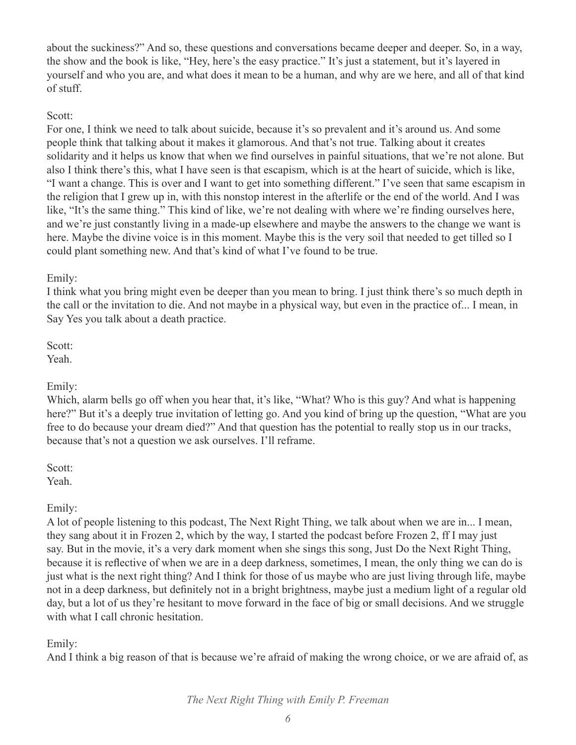about the suckiness?" And so, these questions and conversations became deeper and deeper. So, in a way, the show and the book is like, "Hey, here's the easy practice." It's just a statement, but it's layered in yourself and who you are, and what does it mean to be a human, and why are we here, and all of that kind of stuff.

### Scott:

For one, I think we need to talk about suicide, because it's so prevalent and it's around us. And some people think that talking about it makes it glamorous. And that's not true. Talking about it creates solidarity and it helps us know that when we find ourselves in painful situations, that we're not alone. But also I think there's this, what I have seen is that escapism, which is at the heart of suicide, which is like, "I want a change. This is over and I want to get into something different." I've seen that same escapism in the religion that I grew up in, with this nonstop interest in the afterlife or the end of the world. And I was like, "It's the same thing." This kind of like, we're not dealing with where we're finding ourselves here, and we're just constantly living in a made-up elsewhere and maybe the answers to the change we want is here. Maybe the divine voice is in this moment. Maybe this is the very soil that needed to get tilled so I could plant something new. And that's kind of what I've found to be true.

## Emily:

I think what you bring might even be deeper than you mean to bring. I just think there's so much depth in the call or the invitation to die. And not maybe in a physical way, but even in the practice of... I mean, in Say Yes you talk about a death practice.

Scott: Yeah.

## Emily:

Which, alarm bells go off when you hear that, it's like, "What? Who is this guy? And what is happening here?" But it's a deeply true invitation of letting go. And you kind of bring up the question, "What are you free to do because your dream died?" And that question has the potential to really stop us in our tracks, because that's not a question we ask ourselves. I'll reframe.

Scott: Yeah.

## Emily:

A lot of people listening to this podcast, The Next Right Thing, we talk about when we are in... I mean, they sang about it in Frozen 2, which by the way, I started the podcast before Frozen 2, ff I may just say. But in the movie, it's a very dark moment when she sings this song, Just Do the Next Right Thing, because it is reflective of when we are in a deep darkness, sometimes, I mean, the only thing we can do is just what is the next right thing? And I think for those of us maybe who are just living through life, maybe not in a deep darkness, but definitely not in a bright brightness, maybe just a medium light of a regular old day, but a lot of us they're hesitant to move forward in the face of big or small decisions. And we struggle with what I call chronic hesitation.

## Emily:

And I think a big reason of that is because we're afraid of making the wrong choice, or we are afraid of, as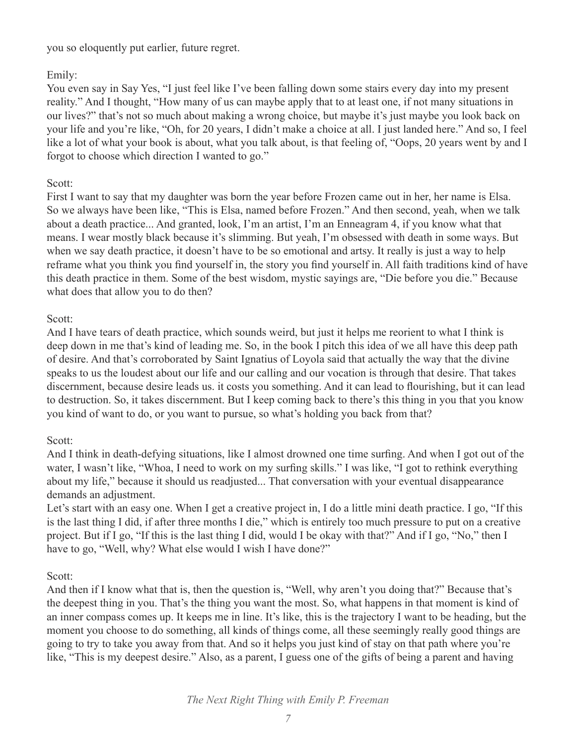you so eloquently put earlier, future regret.

## Emily:

You even say in Say Yes, "I just feel like I've been falling down some stairs every day into my present reality." And I thought, "How many of us can maybe apply that to at least one, if not many situations in our lives?" that's not so much about making a wrong choice, but maybe it's just maybe you look back on your life and you're like, "Oh, for 20 years, I didn't make a choice at all. I just landed here." And so, I feel like a lot of what your book is about, what you talk about, is that feeling of, "Oops, 20 years went by and I forgot to choose which direction I wanted to go."

## Scott:

First I want to say that my daughter was born the year before Frozen came out in her, her name is Elsa. So we always have been like, "This is Elsa, named before Frozen." And then second, yeah, when we talk about a death practice... And granted, look, I'm an artist, I'm an Enneagram 4, if you know what that means. I wear mostly black because it's slimming. But yeah, I'm obsessed with death in some ways. But when we say death practice, it doesn't have to be so emotional and artsy. It really is just a way to help reframe what you think you find yourself in, the story you find yourself in. All faith traditions kind of have this death practice in them. Some of the best wisdom, mystic sayings are, "Die before you die." Because what does that allow you to do then?

## Scott:

And I have tears of death practice, which sounds weird, but just it helps me reorient to what I think is deep down in me that's kind of leading me. So, in the book I pitch this idea of we all have this deep path of desire. And that's corroborated by Saint Ignatius of Loyola said that actually the way that the divine speaks to us the loudest about our life and our calling and our vocation is through that desire. That takes discernment, because desire leads us. it costs you something. And it can lead to flourishing, but it can lead to destruction. So, it takes discernment. But I keep coming back to there's this thing in you that you know you kind of want to do, or you want to pursue, so what's holding you back from that?

# Scott:

And I think in death-defying situations, like I almost drowned one time surfing. And when I got out of the water, I wasn't like, "Whoa, I need to work on my surfing skills." I was like, "I got to rethink everything about my life," because it should us readjusted... That conversation with your eventual disappearance demands an adjustment.

Let's start with an easy one. When I get a creative project in, I do a little mini death practice. I go, "If this is the last thing I did, if after three months I die," which is entirely too much pressure to put on a creative project. But if I go, "If this is the last thing I did, would I be okay with that?" And if I go, "No," then I have to go, "Well, why? What else would I wish I have done?"

## Scott:

And then if I know what that is, then the question is, "Well, why aren't you doing that?" Because that's the deepest thing in you. That's the thing you want the most. So, what happens in that moment is kind of an inner compass comes up. It keeps me in line. It's like, this is the trajectory I want to be heading, but the moment you choose to do something, all kinds of things come, all these seemingly really good things are going to try to take you away from that. And so it helps you just kind of stay on that path where you're like, "This is my deepest desire." Also, as a parent, I guess one of the gifts of being a parent and having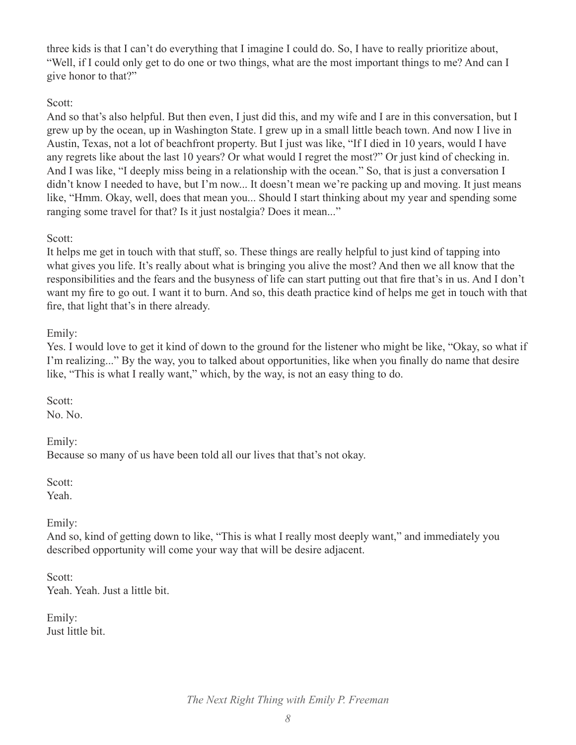three kids is that I can't do everything that I imagine I could do. So, I have to really prioritize about, "Well, if I could only get to do one or two things, what are the most important things to me? And can I give honor to that?"

### Scott:

And so that's also helpful. But then even, I just did this, and my wife and I are in this conversation, but I grew up by the ocean, up in Washington State. I grew up in a small little beach town. And now I live in Austin, Texas, not a lot of beachfront property. But I just was like, "If I died in 10 years, would I have any regrets like about the last 10 years? Or what would I regret the most?" Or just kind of checking in. And I was like, "I deeply miss being in a relationship with the ocean." So, that is just a conversation I didn't know I needed to have, but I'm now... It doesn't mean we're packing up and moving. It just means like, "Hmm. Okay, well, does that mean you... Should I start thinking about my year and spending some ranging some travel for that? Is it just nostalgia? Does it mean..."

## Scott:

It helps me get in touch with that stuff, so. These things are really helpful to just kind of tapping into what gives you life. It's really about what is bringing you alive the most? And then we all know that the responsibilities and the fears and the busyness of life can start putting out that fire that's in us. And I don't want my fire to go out. I want it to burn. And so, this death practice kind of helps me get in touch with that fire, that light that's in there already.

### Emily:

Yes. I would love to get it kind of down to the ground for the listener who might be like, "Okay, so what if I'm realizing..." By the way, you to talked about opportunities, like when you finally do name that desire like, "This is what I really want," which, by the way, is not an easy thing to do.

Scott: No. No.

Emily: Because so many of us have been told all our lives that that's not okay.

Scott: Yeah.

Emily:

And so, kind of getting down to like, "This is what I really most deeply want," and immediately you described opportunity will come your way that will be desire adjacent.

Scott: Yeah. Yeah. Just a little bit.

Emily: Just little bit.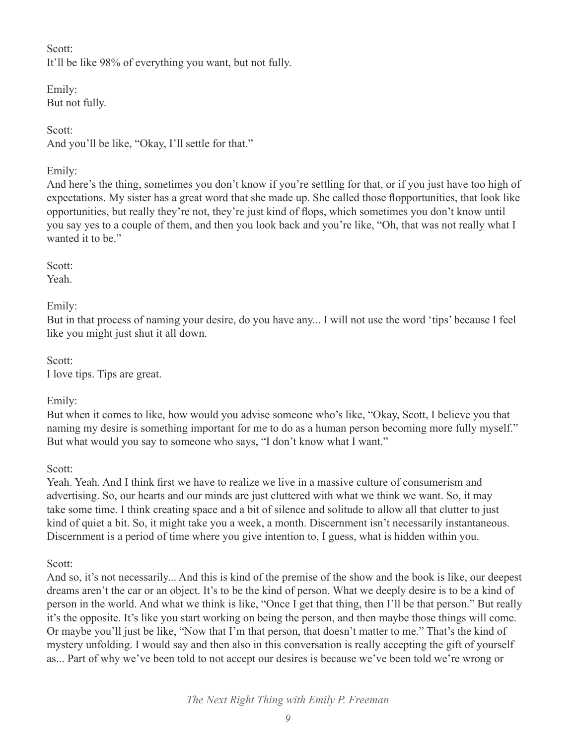Scott: It'll be like 98% of everything you want, but not fully.

Emily: But not fully.

Scott: And you'll be like, "Okay, I'll settle for that."

## Emily:

And here's the thing, sometimes you don't know if you're settling for that, or if you just have too high of expectations. My sister has a great word that she made up. She called those flopportunities, that look like opportunities, but really they're not, they're just kind of flops, which sometimes you don't know until you say yes to a couple of them, and then you look back and you're like, "Oh, that was not really what I wanted it to be."

Scott: Yeah.

Emily:

But in that process of naming your desire, do you have any... I will not use the word 'tips' because I feel like you might just shut it all down.

Scott: I love tips. Tips are great.

Emily:

But when it comes to like, how would you advise someone who's like, "Okay, Scott, I believe you that naming my desire is something important for me to do as a human person becoming more fully myself." But what would you say to someone who says, "I don't know what I want."

Scott:

Yeah. Yeah. And I think first we have to realize we live in a massive culture of consumerism and advertising. So, our hearts and our minds are just cluttered with what we think we want. So, it may take some time. I think creating space and a bit of silence and solitude to allow all that clutter to just kind of quiet a bit. So, it might take you a week, a month. Discernment isn't necessarily instantaneous. Discernment is a period of time where you give intention to, I guess, what is hidden within you.

Scott:

And so, it's not necessarily... And this is kind of the premise of the show and the book is like, our deepest dreams aren't the car or an object. It's to be the kind of person. What we deeply desire is to be a kind of person in the world. And what we think is like, "Once I get that thing, then I'll be that person." But really it's the opposite. It's like you start working on being the person, and then maybe those things will come. Or maybe you'll just be like, "Now that I'm that person, that doesn't matter to me." That's the kind of mystery unfolding. I would say and then also in this conversation is really accepting the gift of yourself as... Part of why we've been told to not accept our desires is because we've been told we're wrong or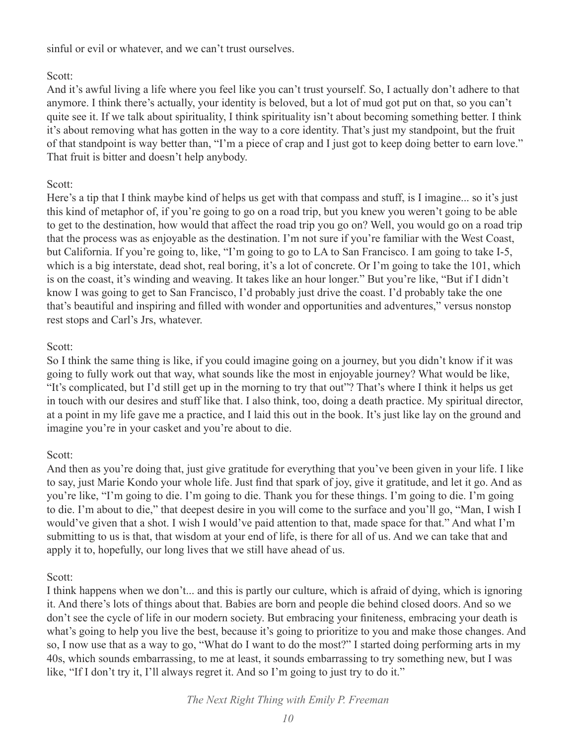sinful or evil or whatever, and we can't trust ourselves.

## Scott:

And it's awful living a life where you feel like you can't trust yourself. So, I actually don't adhere to that anymore. I think there's actually, your identity is beloved, but a lot of mud got put on that, so you can't quite see it. If we talk about spirituality, I think spirituality isn't about becoming something better. I think it's about removing what has gotten in the way to a core identity. That's just my standpoint, but the fruit of that standpoint is way better than, "I'm a piece of crap and I just got to keep doing better to earn love." That fruit is bitter and doesn't help anybody.

## Scott:

Here's a tip that I think maybe kind of helps us get with that compass and stuff, is I imagine... so it's just this kind of metaphor of, if you're going to go on a road trip, but you knew you weren't going to be able to get to the destination, how would that affect the road trip you go on? Well, you would go on a road trip that the process was as enjoyable as the destination. I'm not sure if you're familiar with the West Coast, but California. If you're going to, like, "I'm going to go to LA to San Francisco. I am going to take I-5, which is a big interstate, dead shot, real boring, it's a lot of concrete. Or I'm going to take the 101, which is on the coast, it's winding and weaving. It takes like an hour longer." But you're like, "But if I didn't know I was going to get to San Francisco, I'd probably just drive the coast. I'd probably take the one that's beautiful and inspiring and filled with wonder and opportunities and adventures," versus nonstop rest stops and Carl's Jrs, whatever.

## Scott:

So I think the same thing is like, if you could imagine going on a journey, but you didn't know if it was going to fully work out that way, what sounds like the most in enjoyable journey? What would be like, "It's complicated, but I'd still get up in the morning to try that out"? That's where I think it helps us get in touch with our desires and stuff like that. I also think, too, doing a death practice. My spiritual director, at a point in my life gave me a practice, and I laid this out in the book. It's just like lay on the ground and imagine you're in your casket and you're about to die.

## Scott:

And then as you're doing that, just give gratitude for everything that you've been given in your life. I like to say, just Marie Kondo your whole life. Just find that spark of joy, give it gratitude, and let it go. And as you're like, "I'm going to die. I'm going to die. Thank you for these things. I'm going to die. I'm going to die. I'm about to die," that deepest desire in you will come to the surface and you'll go, "Man, I wish I would've given that a shot. I wish I would've paid attention to that, made space for that." And what I'm submitting to us is that, that wisdom at your end of life, is there for all of us. And we can take that and apply it to, hopefully, our long lives that we still have ahead of us.

## Scott:

I think happens when we don't... and this is partly our culture, which is afraid of dying, which is ignoring it. And there's lots of things about that. Babies are born and people die behind closed doors. And so we don't see the cycle of life in our modern society. But embracing your finiteness, embracing your death is what's going to help you live the best, because it's going to prioritize to you and make those changes. And so, I now use that as a way to go, "What do I want to do the most?" I started doing performing arts in my 40s, which sounds embarrassing, to me at least, it sounds embarrassing to try something new, but I was like, "If I don't try it, I'll always regret it. And so I'm going to just try to do it."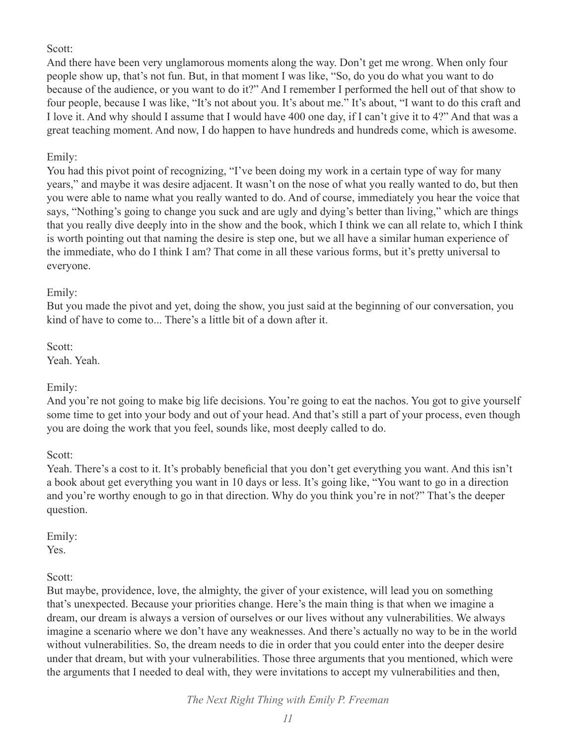#### Scott:

And there have been very unglamorous moments along the way. Don't get me wrong. When only four people show up, that's not fun. But, in that moment I was like, "So, do you do what you want to do because of the audience, or you want to do it?" And I remember I performed the hell out of that show to four people, because I was like, "It's not about you. It's about me." It's about, "I want to do this craft and I love it. And why should I assume that I would have 400 one day, if I can't give it to 4?" And that was a great teaching moment. And now, I do happen to have hundreds and hundreds come, which is awesome.

## Emily:

You had this pivot point of recognizing, "I've been doing my work in a certain type of way for many years," and maybe it was desire adjacent. It wasn't on the nose of what you really wanted to do, but then you were able to name what you really wanted to do. And of course, immediately you hear the voice that says, "Nothing's going to change you suck and are ugly and dying's better than living," which are things that you really dive deeply into in the show and the book, which I think we can all relate to, which I think is worth pointing out that naming the desire is step one, but we all have a similar human experience of the immediate, who do I think I am? That come in all these various forms, but it's pretty universal to everyone.

### Emily:

But you made the pivot and yet, doing the show, you just said at the beginning of our conversation, you kind of have to come to... There's a little bit of a down after it.

Scott: Yeah. Yeah.

## Emily:

And you're not going to make big life decisions. You're going to eat the nachos. You got to give yourself some time to get into your body and out of your head. And that's still a part of your process, even though you are doing the work that you feel, sounds like, most deeply called to do.

Scott:

Yeah. There's a cost to it. It's probably beneficial that you don't get everything you want. And this isn't a book about get everything you want in 10 days or less. It's going like, "You want to go in a direction and you're worthy enough to go in that direction. Why do you think you're in not?" That's the deeper question.

Emily:

Yes.

Scott:

But maybe, providence, love, the almighty, the giver of your existence, will lead you on something that's unexpected. Because your priorities change. Here's the main thing is that when we imagine a dream, our dream is always a version of ourselves or our lives without any vulnerabilities. We always imagine a scenario where we don't have any weaknesses. And there's actually no way to be in the world without vulnerabilities. So, the dream needs to die in order that you could enter into the deeper desire under that dream, but with your vulnerabilities. Those three arguments that you mentioned, which were the arguments that I needed to deal with, they were invitations to accept my vulnerabilities and then,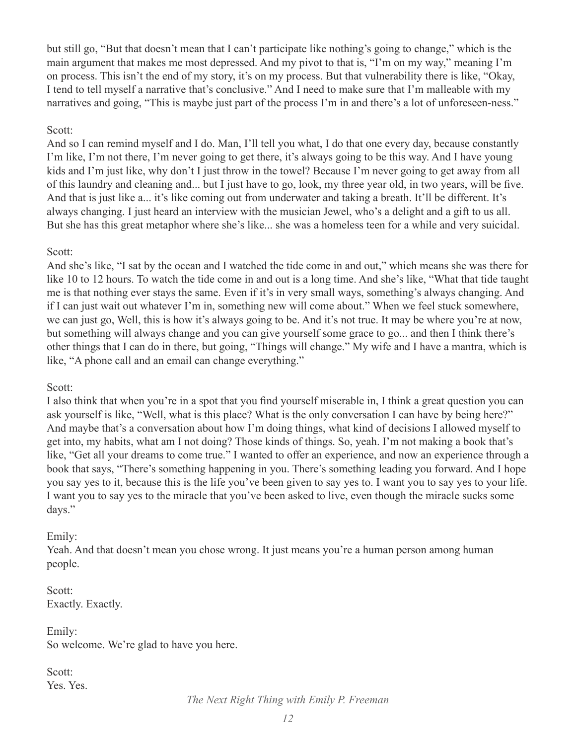but still go, "But that doesn't mean that I can't participate like nothing's going to change," which is the main argument that makes me most depressed. And my pivot to that is, "I'm on my way," meaning I'm on process. This isn't the end of my story, it's on my process. But that vulnerability there is like, "Okay, I tend to tell myself a narrative that's conclusive." And I need to make sure that I'm malleable with my narratives and going, "This is maybe just part of the process I'm in and there's a lot of unforeseen-ness."

### Scott:

And so I can remind myself and I do. Man, I'll tell you what, I do that one every day, because constantly I'm like, I'm not there, I'm never going to get there, it's always going to be this way. And I have young kids and I'm just like, why don't I just throw in the towel? Because I'm never going to get away from all of this laundry and cleaning and... but I just have to go, look, my three year old, in two years, will be five. And that is just like a... it's like coming out from underwater and taking a breath. It'll be different. It's always changing. I just heard an interview with the musician Jewel, who's a delight and a gift to us all. But she has this great metaphor where she's like... she was a homeless teen for a while and very suicidal.

### Scott:

And she's like, "I sat by the ocean and I watched the tide come in and out," which means she was there for like 10 to 12 hours. To watch the tide come in and out is a long time. And she's like, "What that tide taught me is that nothing ever stays the same. Even if it's in very small ways, something's always changing. And if I can just wait out whatever I'm in, something new will come about." When we feel stuck somewhere, we can just go, Well, this is how it's always going to be. And it's not true. It may be where you're at now, but something will always change and you can give yourself some grace to go... and then I think there's other things that I can do in there, but going, "Things will change." My wife and I have a mantra, which is like, "A phone call and an email can change everything."

Scott:

I also think that when you're in a spot that you find yourself miserable in, I think a great question you can ask yourself is like, "Well, what is this place? What is the only conversation I can have by being here?" And maybe that's a conversation about how I'm doing things, what kind of decisions I allowed myself to get into, my habits, what am I not doing? Those kinds of things. So, yeah. I'm not making a book that's like, "Get all your dreams to come true." I wanted to offer an experience, and now an experience through a book that says, "There's something happening in you. There's something leading you forward. And I hope you say yes to it, because this is the life you've been given to say yes to. I want you to say yes to your life. I want you to say yes to the miracle that you've been asked to live, even though the miracle sucks some days."

## Emily:

Yeah. And that doesn't mean you chose wrong. It just means you're a human person among human people.

Scott: Exactly. Exactly.

Emily: So welcome. We're glad to have you here.

Scott: Yes. Yes.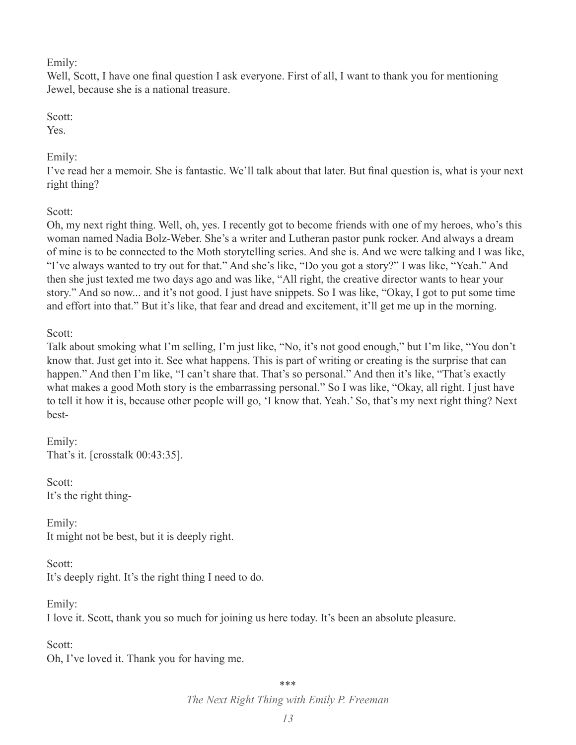#### Emily:

Well, Scott, I have one final question I ask everyone. First of all, I want to thank you for mentioning Jewel, because she is a national treasure.

### Scott:

Yes.

# Emily:

I've read her a memoir. She is fantastic. We'll talk about that later. But final question is, what is your next right thing?

Scott:

Oh, my next right thing. Well, oh, yes. I recently got to become friends with one of my heroes, who's this woman named Nadia Bolz-Weber. She's a writer and Lutheran pastor punk rocker. And always a dream of mine is to be connected to the Moth storytelling series. And she is. And we were talking and I was like, "I've always wanted to try out for that." And she's like, "Do you got a story?" I was like, "Yeah." And then she just texted me two days ago and was like, "All right, the creative director wants to hear your story." And so now... and it's not good. I just have snippets. So I was like, "Okay, I got to put some time and effort into that." But it's like, that fear and dread and excitement, it'll get me up in the morning.

# Scott:

Talk about smoking what I'm selling, I'm just like, "No, it's not good enough," but I'm like, "You don't know that. Just get into it. See what happens. This is part of writing or creating is the surprise that can happen." And then I'm like, "I can't share that. That's so personal." And then it's like, "That's exactly what makes a good Moth story is the embarrassing personal." So I was like, "Okay, all right. I just have to tell it how it is, because other people will go, 'I know that. Yeah.' So, that's my next right thing? Next best-

Emily: That's it. [crosstalk 00:43:35].

Scott: It's the right thing-

Emily: It might not be best, but it is deeply right.

Scott: It's deeply right. It's the right thing I need to do.

Emily: I love it. Scott, thank you so much for joining us here today. It's been an absolute pleasure.

Scott: Oh, I've loved it. Thank you for having me.

\*\*\*